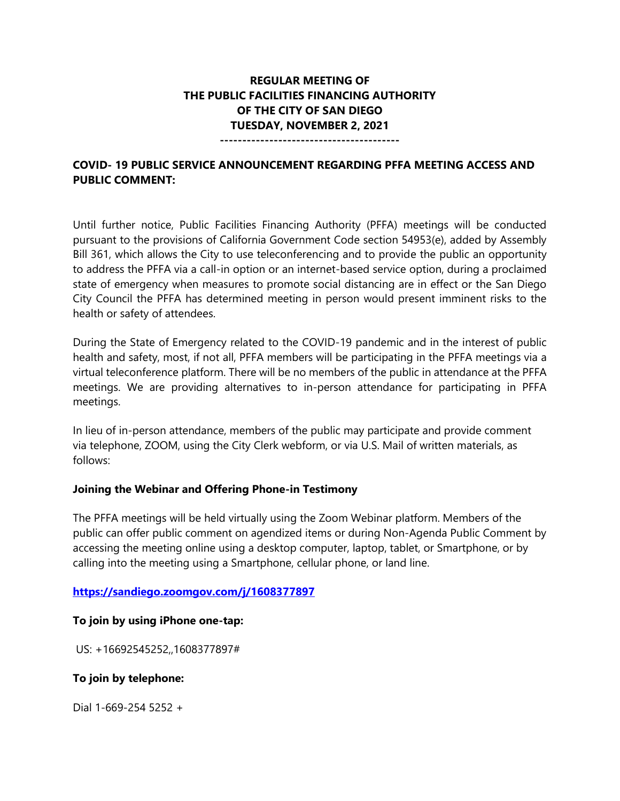# **REGULAR MEETING OF THE PUBLIC FACILITIES FINANCING AUTHORITY OF THE CITY OF SAN DIEGO TUESDAY, NOVEMBER 2, 2021**

**----------------------------------------**

## **COVID- 19 PUBLIC SERVICE ANNOUNCEMENT REGARDING PFFA MEETING ACCESS AND PUBLIC COMMENT:**

Until further notice, Public Facilities Financing Authority (PFFA) meetings will be conducted pursuant to the provisions of California Government Code section 54953(e), added by Assembly Bill 361, which allows the City to use teleconferencing and to provide the public an opportunity to address the PFFA via a call-in option or an internet-based service option, during a proclaimed state of emergency when measures to promote social distancing are in effect or the San Diego City Council the PFFA has determined meeting in person would present imminent risks to the health or safety of attendees.

During the State of Emergency related to the COVID-19 pandemic and in the interest of public health and safety, most, if not all, PFFA members will be participating in the PFFA meetings via a virtual teleconference platform. There will be no members of the public in attendance at the PFFA meetings. We are providing alternatives to in-person attendance for participating in PFFA meetings.

In lieu of in-person attendance, members of the public may participate and provide comment via telephone, ZOOM, using the City Clerk webform, or via U.S. Mail of written materials, as follows:

## **Joining the Webinar and Offering Phone-in Testimony**

The PFFA meetings will be held virtually using the Zoom Webinar platform. Members of the public can offer public comment on agendized items or during Non-Agenda Public Comment by accessing the meeting online using a desktop computer, laptop, tablet, or Smartphone, or by calling into the meeting using a Smartphone, cellular phone, or land line.

## **<https://sandiego.zoomgov.com/j/1608377897>**

## **To join by using iPhone one-tap:**

US: +16692545252,,1608377897#

## **To join by telephone:**

Dial 1-669-254 5252 +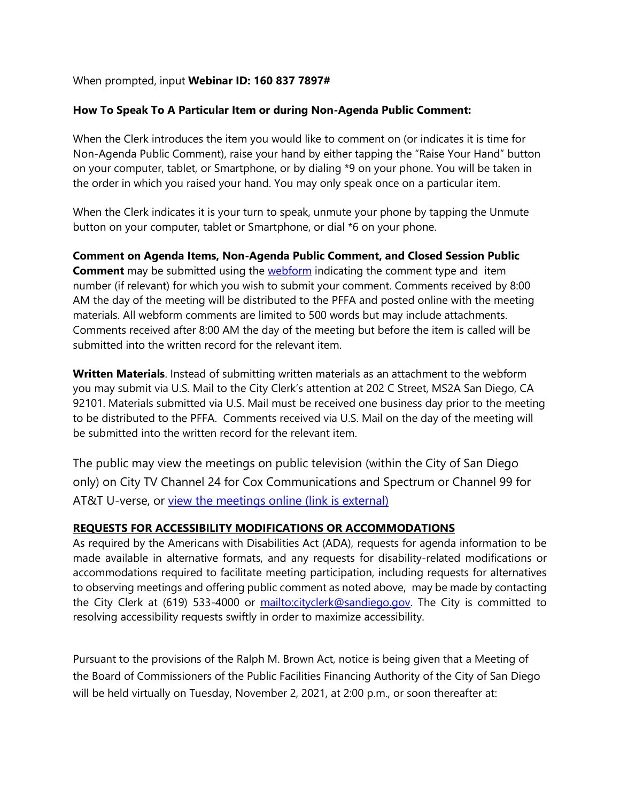## When prompted, input **Webinar ID: 160 837 7897#**

## **How To Speak To A Particular Item or during Non-Agenda Public Comment:**

When the Clerk introduces the item you would like to comment on (or indicates it is time for Non-Agenda Public Comment), raise your hand by either tapping the "Raise Your Hand" button on your computer, tablet, or Smartphone, or by dialing \*9 on your phone. You will be taken in the order in which you raised your hand. You may only speak once on a particular item.

When the Clerk indicates it is your turn to speak, unmute your phone by tapping the Unmute button on your computer, tablet or Smartphone, or dial \*6 on your phone.

**Comment on Agenda Items, Non-Agenda Public Comment, and Closed Session Public Comment** may be submitted using the **webform** indicating the comment type and item number (if relevant) for which you wish to submit your comment. Comments received by 8:00 AM the day of the meeting will be distributed to the PFFA and posted online with the meeting materials. All webform comments are limited to 500 words but may include attachments. Comments received after 8:00 AM the day of the meeting but before the item is called will be submitted into the written record for the relevant item.

**Written Materials**. Instead of submitting written materials as an attachment to the webform you may submit via U.S. Mail to the City Clerk's attention at 202 C Street, MS2A San Diego, CA 92101. Materials submitted via U.S. Mail must be received one business day prior to the meeting to be distributed to the PFFA. Comments received via U.S. Mail on the day of the meeting will be submitted into the written record for the relevant item.

The public may view the meetings on public television (within the City of San Diego only) on City TV Channel 24 for Cox Communications and Spectrum or Channel 99 for AT&T U-verse, or [view the meetings online \(link is external\)](http://sandiego.granicus.com/ViewPublisher.php?view_id=31) 

## **REQUESTS FOR ACCESSIBILITY MODIFICATIONS OR ACCOMMODATIONS**

As required by the Americans with Disabilities Act (ADA), requests for agenda information to be made available in alternative formats, and any requests for disability-related modifications or accommodations required to facilitate meeting participation, including requests for alternatives to observing meetings and offering public comment as noted above, may be made by contacting the City Clerk at (619) 533-4000 or [mailto:cityclerk@sandiego.gov.](mailto:cityclerk@sandiego.gov) The City is committed to resolving accessibility requests swiftly in order to maximize accessibility.

Pursuant to the provisions of the Ralph M. Brown Act, notice is being given that a Meeting of the Board of Commissioners of the Public Facilities Financing Authority of the City of San Diego will be held virtually on Tuesday, November 2, 2021, at 2:00 p.m., or soon thereafter at: